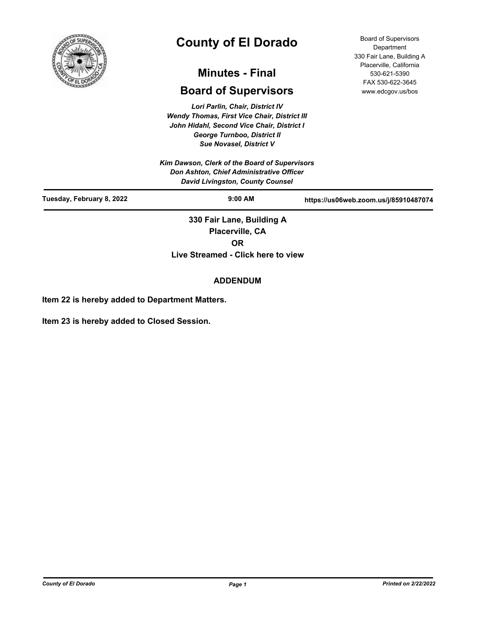

# **County of El Dorado**

## **Minutes - Final**

## **Board of Supervisors**

*Lori Parlin, Chair, District IV Wendy Thomas, First Vice Chair, District III John Hidahl, Second Vice Chair, District I George Turnboo, District II Sue Novasel, District V*

*Kim Dawson, Clerk of the Board of Supervisors Don Ashton, Chief Administrative Officer David Livingston, County Counsel*

Board of Supervisors **Department** 330 Fair Lane, Building A Placerville, California 530-621-5390 FAX 530-622-3645 www.edcgov.us/bos

| David Livingston, County Counsel |                           |                                       |
|----------------------------------|---------------------------|---------------------------------------|
| Tuesday, February 8, 2022        | $9:00$ AM                 | https://us06web.zoom.us/j/85910487074 |
|                                  | 330 Fair Lane, Building A |                                       |
|                                  | Placerville, CA           |                                       |
|                                  | ΟR                        |                                       |

**Live Streamed - Click here to view**

## **ADDENDUM**

**Item 22 is hereby added to Department Matters.**

**Item 23 is hereby added to Closed Session.**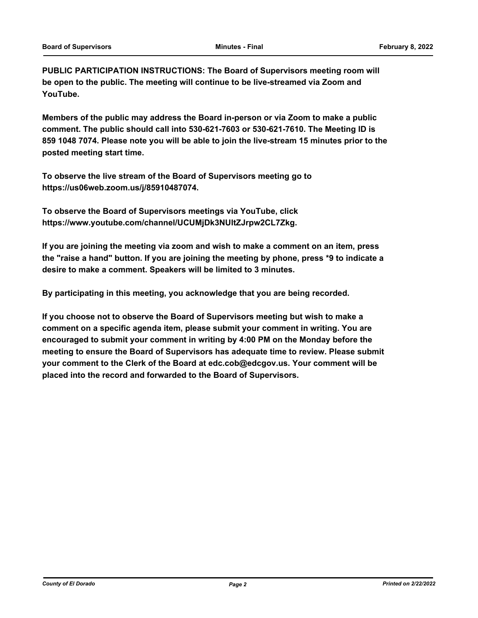**PUBLIC PARTICIPATION INSTRUCTIONS: The Board of Supervisors meeting room will be open to the public. The meeting will continue to be live-streamed via Zoom and YouTube.**

**Members of the public may address the Board in-person or via Zoom to make a public comment. The public should call into 530-621-7603 or 530-621-7610. The Meeting ID is 859 1048 7074. Please note you will be able to join the live-stream 15 minutes prior to the posted meeting start time.**

**To observe the live stream of the Board of Supervisors meeting go to https://us06web.zoom.us/j/85910487074.**

**To observe the Board of Supervisors meetings via YouTube, click https://www.youtube.com/channel/UCUMjDk3NUltZJrpw2CL7Zkg.**

**If you are joining the meeting via zoom and wish to make a comment on an item, press the "raise a hand" button. If you are joining the meeting by phone, press \*9 to indicate a desire to make a comment. Speakers will be limited to 3 minutes.**

**By participating in this meeting, you acknowledge that you are being recorded.**

**If you choose not to observe the Board of Supervisors meeting but wish to make a comment on a specific agenda item, please submit your comment in writing. You are encouraged to submit your comment in writing by 4:00 PM on the Monday before the meeting to ensure the Board of Supervisors has adequate time to review. Please submit your comment to the Clerk of the Board at edc.cob@edcgov.us. Your comment will be placed into the record and forwarded to the Board of Supervisors.**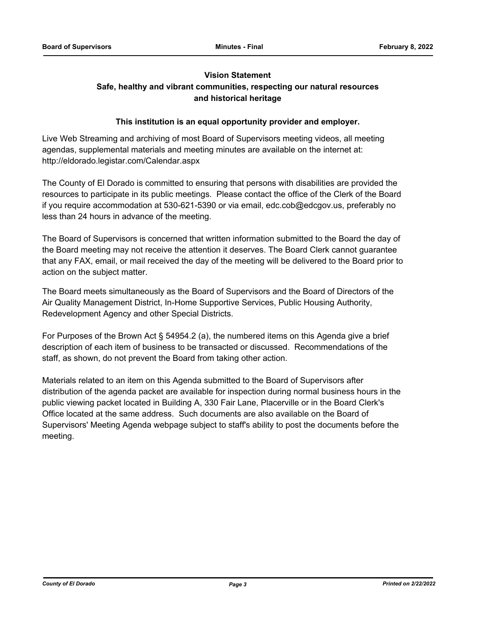## **Vision Statement Safe, healthy and vibrant communities, respecting our natural resources and historical heritage**

## **This institution is an equal opportunity provider and employer.**

Live Web Streaming and archiving of most Board of Supervisors meeting videos, all meeting agendas, supplemental materials and meeting minutes are available on the internet at: http://eldorado.legistar.com/Calendar.aspx

The County of El Dorado is committed to ensuring that persons with disabilities are provided the resources to participate in its public meetings. Please contact the office of the Clerk of the Board if you require accommodation at 530-621-5390 or via email, edc.cob@edcgov.us, preferably no less than 24 hours in advance of the meeting.

The Board of Supervisors is concerned that written information submitted to the Board the day of the Board meeting may not receive the attention it deserves. The Board Clerk cannot guarantee that any FAX, email, or mail received the day of the meeting will be delivered to the Board prior to action on the subject matter.

The Board meets simultaneously as the Board of Supervisors and the Board of Directors of the Air Quality Management District, In-Home Supportive Services, Public Housing Authority, Redevelopment Agency and other Special Districts.

For Purposes of the Brown Act § 54954.2 (a), the numbered items on this Agenda give a brief description of each item of business to be transacted or discussed. Recommendations of the staff, as shown, do not prevent the Board from taking other action.

Materials related to an item on this Agenda submitted to the Board of Supervisors after distribution of the agenda packet are available for inspection during normal business hours in the public viewing packet located in Building A, 330 Fair Lane, Placerville or in the Board Clerk's Office located at the same address. Such documents are also available on the Board of Supervisors' Meeting Agenda webpage subject to staff's ability to post the documents before the meeting.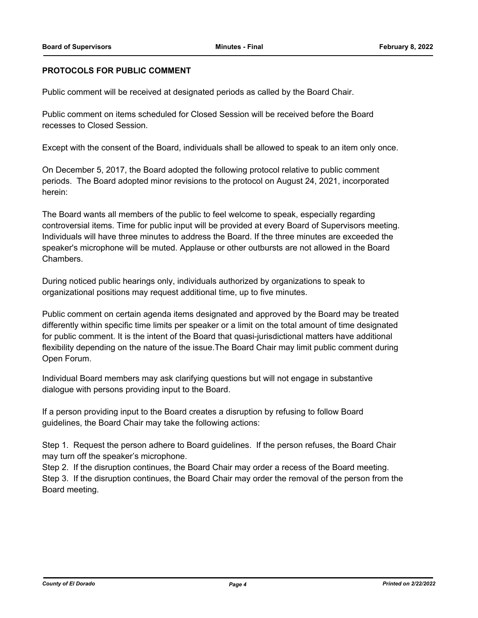## **PROTOCOLS FOR PUBLIC COMMENT**

Public comment will be received at designated periods as called by the Board Chair.

Public comment on items scheduled for Closed Session will be received before the Board recesses to Closed Session.

Except with the consent of the Board, individuals shall be allowed to speak to an item only once.

On December 5, 2017, the Board adopted the following protocol relative to public comment periods. The Board adopted minor revisions to the protocol on August 24, 2021, incorporated herein:

The Board wants all members of the public to feel welcome to speak, especially regarding controversial items. Time for public input will be provided at every Board of Supervisors meeting. Individuals will have three minutes to address the Board. If the three minutes are exceeded the speaker's microphone will be muted. Applause or other outbursts are not allowed in the Board Chambers.

During noticed public hearings only, individuals authorized by organizations to speak to organizational positions may request additional time, up to five minutes.

Public comment on certain agenda items designated and approved by the Board may be treated differently within specific time limits per speaker or a limit on the total amount of time designated for public comment. It is the intent of the Board that quasi-jurisdictional matters have additional flexibility depending on the nature of the issue.The Board Chair may limit public comment during Open Forum.

Individual Board members may ask clarifying questions but will not engage in substantive dialogue with persons providing input to the Board.

If a person providing input to the Board creates a disruption by refusing to follow Board guidelines, the Board Chair may take the following actions:

Step 1. Request the person adhere to Board guidelines. If the person refuses, the Board Chair may turn off the speaker's microphone.

Step 2. If the disruption continues, the Board Chair may order a recess of the Board meeting. Step 3. If the disruption continues, the Board Chair may order the removal of the person from the Board meeting.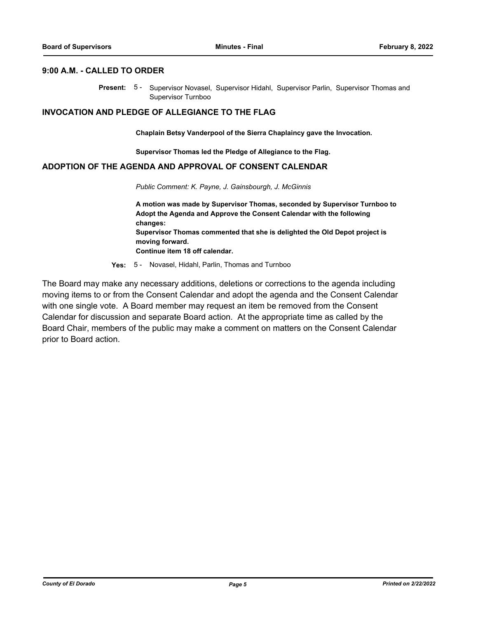## **9:00 A.M. - CALLED TO ORDER**

Present: 5- Supervisor Novasel, Supervisor Hidahl, Supervisor Parlin, Supervisor Thomas and Supervisor Turnboo

## **INVOCATION AND PLEDGE OF ALLEGIANCE TO THE FLAG**

**Chaplain Betsy Vanderpool of the Sierra Chaplaincy gave the Invocation.**

**Supervisor Thomas led the Pledge of Allegiance to the Flag.**

## **ADOPTION OF THE AGENDA AND APPROVAL OF CONSENT CALENDAR**

*Public Comment: K. Payne, J. Gainsbourgh, J. McGinnis*

**A motion was made by Supervisor Thomas, seconded by Supervisor Turnboo to Adopt the Agenda and Approve the Consent Calendar with the following changes: Supervisor Thomas commented that she is delighted the Old Depot project is moving forward. Continue item 18 off calendar.**

**Yes:** 5 - Novasel, Hidahl, Parlin, Thomas and Turnboo

The Board may make any necessary additions, deletions or corrections to the agenda including moving items to or from the Consent Calendar and adopt the agenda and the Consent Calendar with one single vote. A Board member may request an item be removed from the Consent Calendar for discussion and separate Board action. At the appropriate time as called by the Board Chair, members of the public may make a comment on matters on the Consent Calendar prior to Board action.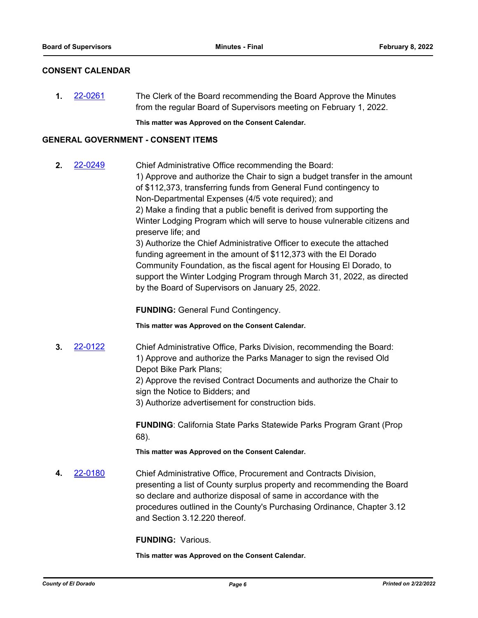## **CONSENT CALENDAR**

**1.** [22-0261](http://eldorado.legistar.com/gateway.aspx?m=l&id=/matter.aspx?key=31162) The Clerk of the Board recommending the Board Approve the Minutes from the regular Board of Supervisors meeting on February 1, 2022.

**This matter was Approved on the Consent Calendar.**

## **GENERAL GOVERNMENT - CONSENT ITEMS**

**2.** [22-0249](http://eldorado.legistar.com/gateway.aspx?m=l&id=/matter.aspx?key=31150) Chief Administrative Office recommending the Board: 1) Approve and authorize the Chair to sign a budget transfer in the amount of \$112,373, transferring funds from General Fund contingency to Non-Departmental Expenses (4/5 vote required); and 2) Make a finding that a public benefit is derived from supporting the Winter Lodging Program which will serve to house vulnerable citizens and preserve life; and 3) Authorize the Chief Administrative Officer to execute the attached funding agreement in the amount of \$112,373 with the El Dorado Community Foundation, as the fiscal agent for Housing El Dorado, to support the Winter Lodging Program through March 31, 2022, as directed by the Board of Supervisors on January 25, 2022.

**FUNDING:** General Fund Contingency.

**This matter was Approved on the Consent Calendar.**

**3.** [22-0122](http://eldorado.legistar.com/gateway.aspx?m=l&id=/matter.aspx?key=31023) Chief Administrative Office, Parks Division, recommending the Board: 1) Approve and authorize the Parks Manager to sign the revised Old Depot Bike Park Plans;

> 2) Approve the revised Contract Documents and authorize the Chair to sign the Notice to Bidders; and

3) Authorize advertisement for construction bids.

**FUNDING**: California State Parks Statewide Parks Program Grant (Prop 68).

**This matter was Approved on the Consent Calendar.**

**4.** [22-0180](http://eldorado.legistar.com/gateway.aspx?m=l&id=/matter.aspx?key=31081) Chief Administrative Office, Procurement and Contracts Division, presenting a list of County surplus property and recommending the Board so declare and authorize disposal of same in accordance with the procedures outlined in the County's Purchasing Ordinance, Chapter 3.12 and Section 3.12.220 thereof.

**FUNDING:** Various.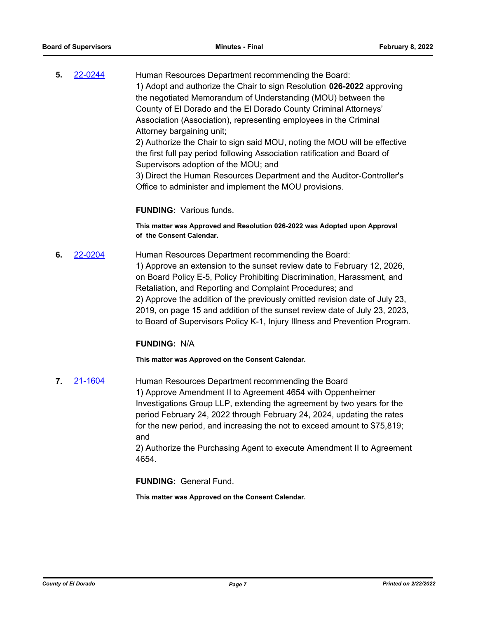**5.** [22-0244](http://eldorado.legistar.com/gateway.aspx?m=l&id=/matter.aspx?key=31145) Human Resources Department recommending the Board: 1) Adopt and authorize the Chair to sign Resolution **026-2022** approving the negotiated Memorandum of Understanding (MOU) between the County of El Dorado and the El Dorado County Criminal Attorneys' Association (Association), representing employees in the Criminal Attorney bargaining unit; 2) Authorize the Chair to sign said MOU, noting the MOU will be effective

the first full pay period following Association ratification and Board of Supervisors adoption of the MOU; and

3) Direct the Human Resources Department and the Auditor-Controller's Office to administer and implement the MOU provisions.

## **FUNDING:** Various funds.

**This matter was Approved and Resolution 026-2022 was Adopted upon Approval of the Consent Calendar.**

**6.** [22-0204](http://eldorado.legistar.com/gateway.aspx?m=l&id=/matter.aspx?key=31105) Human Resources Department recommending the Board: 1) Approve an extension to the sunset review date to February 12, 2026, on Board Policy E-5, Policy Prohibiting Discrimination, Harassment, and Retaliation, and Reporting and Complaint Procedures; and 2) Approve the addition of the previously omitted revision date of July 23, 2019, on page 15 and addition of the sunset review date of July 23, 2023, to Board of Supervisors Policy K-1, Injury Illness and Prevention Program.

## **FUNDING:** N/A

**This matter was Approved on the Consent Calendar.**

**7.** [21-1604](http://eldorado.legistar.com/gateway.aspx?m=l&id=/matter.aspx?key=30499) Human Resources Department recommending the Board 1) Approve Amendment II to Agreement 4654 with Oppenheimer Investigations Group LLP, extending the agreement by two years for the period February 24, 2022 through February 24, 2024, updating the rates for the new period, and increasing the not to exceed amount to \$75,819; and

2) Authorize the Purchasing Agent to execute Amendment II to Agreement 4654.

**FUNDING:** General Fund.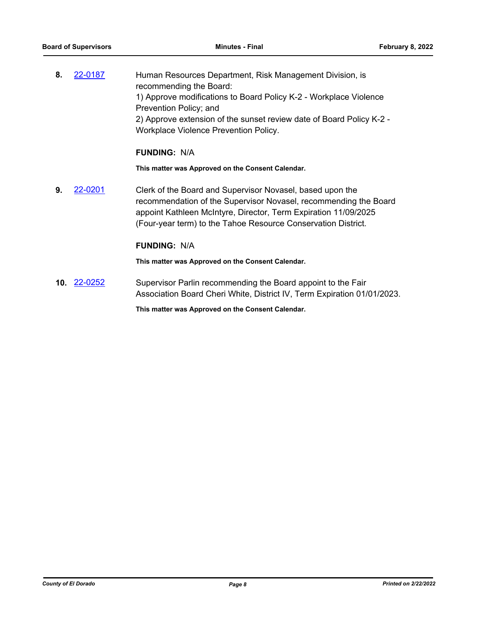**8.** [22-0187](http://eldorado.legistar.com/gateway.aspx?m=l&id=/matter.aspx?key=31088) Human Resources Department, Risk Management Division, is recommending the Board: 1) Approve modifications to Board Policy K-2 - Workplace Violence Prevention Policy; and 2) Approve extension of the sunset review date of Board Policy K-2 - Workplace Violence Prevention Policy.

## **FUNDING:** N/A

**This matter was Approved on the Consent Calendar.**

**9.** [22-0201](http://eldorado.legistar.com/gateway.aspx?m=l&id=/matter.aspx?key=31102) Clerk of the Board and Supervisor Novasel, based upon the recommendation of the Supervisor Novasel, recommending the Board appoint Kathleen McIntyre, Director, Term Expiration 11/09/2025 (Four-year term) to the Tahoe Resource Conservation District.

### **FUNDING:** N/A

**This matter was Approved on the Consent Calendar.**

**10.** [22-0252](http://eldorado.legistar.com/gateway.aspx?m=l&id=/matter.aspx?key=31153) Supervisor Parlin recommending the Board appoint to the Fair Association Board Cheri White, District IV, Term Expiration 01/01/2023.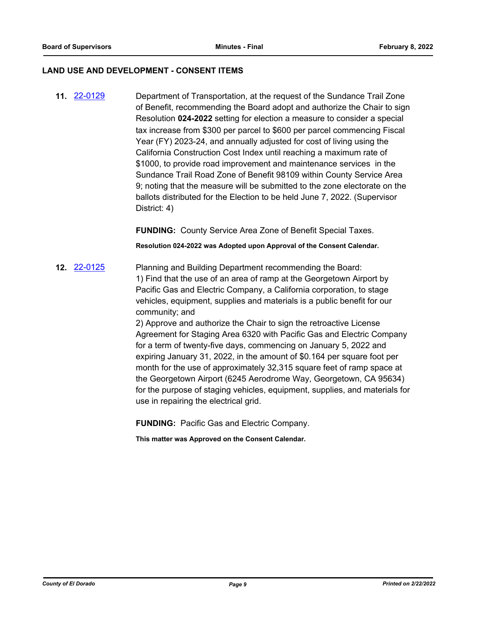## **LAND USE AND DEVELOPMENT - CONSENT ITEMS**

**11.** [22-0129](http://eldorado.legistar.com/gateway.aspx?m=l&id=/matter.aspx?key=31030) Department of Transportation, at the request of the Sundance Trail Zone of Benefit, recommending the Board adopt and authorize the Chair to sign Resolution **024-2022** setting for election a measure to consider a special tax increase from \$300 per parcel to \$600 per parcel commencing Fiscal Year (FY) 2023-24, and annually adjusted for cost of living using the California Construction Cost Index until reaching a maximum rate of \$1000, to provide road improvement and maintenance services in the Sundance Trail Road Zone of Benefit 98109 within County Service Area 9; noting that the measure will be submitted to the zone electorate on the ballots distributed for the Election to be held June 7, 2022. (Supervisor District: 4)

**FUNDING:** County Service Area Zone of Benefit Special Taxes.

**Resolution 024-2022 was Adopted upon Approval of the Consent Calendar.**

**12.** [22-0125](http://eldorado.legistar.com/gateway.aspx?m=l&id=/matter.aspx?key=31026) Planning and Building Department recommending the Board: 1) Find that the use of an area of ramp at the Georgetown Airport by Pacific Gas and Electric Company, a California corporation, to stage vehicles, equipment, supplies and materials is a public benefit for our community; and

> 2) Approve and authorize the Chair to sign the retroactive License Agreement for Staging Area 6320 with Pacific Gas and Electric Company for a term of twenty-five days, commencing on January 5, 2022 and expiring January 31, 2022, in the amount of \$0.164 per square foot per month for the use of approximately 32,315 square feet of ramp space at the Georgetown Airport (6245 Aerodrome Way, Georgetown, CA 95634) for the purpose of staging vehicles, equipment, supplies, and materials for use in repairing the electrical grid.

**FUNDING:** Pacific Gas and Electric Company.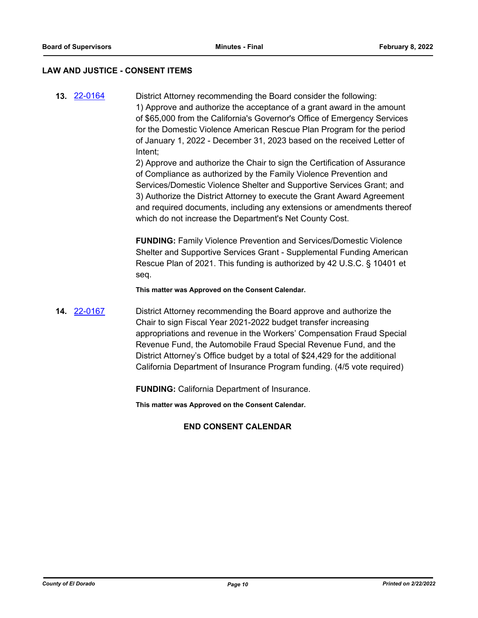#### **LAW AND JUSTICE - CONSENT ITEMS**

**13.** [22-0164](http://eldorado.legistar.com/gateway.aspx?m=l&id=/matter.aspx?key=31065) District Attorney recommending the Board consider the following: 1) Approve and authorize the acceptance of a grant award in the amount of \$65,000 from the California's Governor's Office of Emergency Services for the Domestic Violence American Rescue Plan Program for the period of January 1, 2022 - December 31, 2023 based on the received Letter of Intent;

> 2) Approve and authorize the Chair to sign the Certification of Assurance of Compliance as authorized by the Family Violence Prevention and Services/Domestic Violence Shelter and Supportive Services Grant; and 3) Authorize the District Attorney to execute the Grant Award Agreement and required documents, including any extensions or amendments thereof which do not increase the Department's Net County Cost.

**FUNDING:** Family Violence Prevention and Services/Domestic Violence Shelter and Supportive Services Grant - Supplemental Funding American Rescue Plan of 2021. This funding is authorized by 42 U.S.C. § 10401 et seq.

**This matter was Approved on the Consent Calendar.**

**14.** [22-0167](http://eldorado.legistar.com/gateway.aspx?m=l&id=/matter.aspx?key=31068) District Attorney recommending the Board approve and authorize the Chair to sign Fiscal Year 2021-2022 budget transfer increasing appropriations and revenue in the Workers' Compensation Fraud Special Revenue Fund, the Automobile Fraud Special Revenue Fund, and the District Attorney's Office budget by a total of \$24,429 for the additional California Department of Insurance Program funding. (4/5 vote required)

**FUNDING:** California Department of Insurance.

**This matter was Approved on the Consent Calendar.**

## **END CONSENT CALENDAR**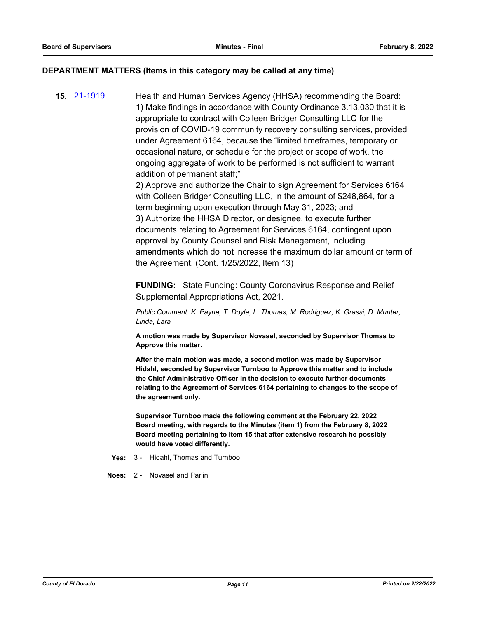## **DEPARTMENT MATTERS (Items in this category may be called at any time)**

**15.** [21-1919](http://eldorado.legistar.com/gateway.aspx?m=l&id=/matter.aspx?key=30815) Health and Human Services Agency (HHSA) recommending the Board: 1) Make findings in accordance with County Ordinance 3.13.030 that it is appropriate to contract with Colleen Bridger Consulting LLC for the provision of COVID-19 community recovery consulting services, provided under Agreement 6164, because the "limited timeframes, temporary or occasional nature, or schedule for the project or scope of work, the ongoing aggregate of work to be performed is not sufficient to warrant addition of permanent staff;"

2) Approve and authorize the Chair to sign Agreement for Services 6164 with Colleen Bridger Consulting LLC, in the amount of \$248,864, for a term beginning upon execution through May 31, 2023; and 3) Authorize the HHSA Director, or designee, to execute further documents relating to Agreement for Services 6164, contingent upon approval by County Counsel and Risk Management, including amendments which do not increase the maximum dollar amount or term of the Agreement. (Cont. 1/25/2022, Item 13)

**FUNDING:** State Funding: County Coronavirus Response and Relief Supplemental Appropriations Act, 2021.

*Public Comment: K. Payne, T. Doyle, L. Thomas, M. Rodriguez, K. Grassi, D. Munter, Linda, Lara*

**A motion was made by Supervisor Novasel, seconded by Supervisor Thomas to Approve this matter.**

**After the main motion was made, a second motion was made by Supervisor Hidahl, seconded by Supervisor Turnboo to Approve this matter and to include the Chief Administrative Officer in the decision to execute further documents relating to the Agreement of Services 6164 pertaining to changes to the scope of the agreement only.**

**Supervisor Turnboo made the following comment at the February 22, 2022 Board meeting, with regards to the Minutes (item 1) from the February 8, 2022 Board meeting pertaining to item 15 that after extensive research he possibly would have voted differently.**

**Yes:** 3 - Hidahl, Thomas and Turnboo

**Noes:** 2 - Novasel and Parlin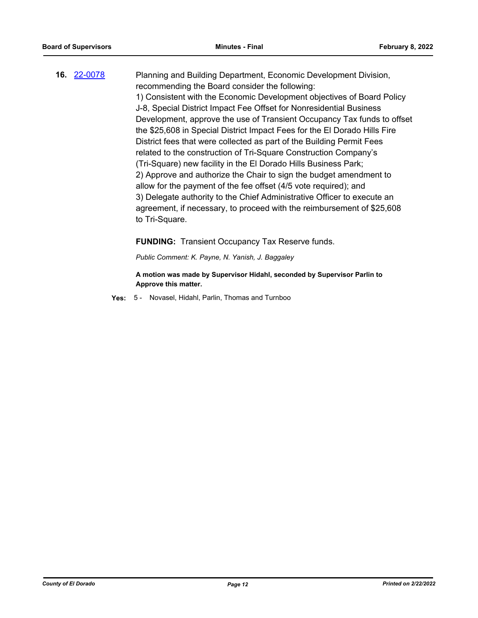**16.** [22-0078](http://eldorado.legistar.com/gateway.aspx?m=l&id=/matter.aspx?key=30978) Planning and Building Department, Economic Development Division, recommending the Board consider the following: 1) Consistent with the Economic Development objectives of Board Policy J-8, Special District Impact Fee Offset for Nonresidential Business Development, approve the use of Transient Occupancy Tax funds to offset the \$25,608 in Special District Impact Fees for the El Dorado Hills Fire District fees that were collected as part of the Building Permit Fees related to the construction of Tri-Square Construction Company's (Tri-Square) new facility in the El Dorado Hills Business Park; 2) Approve and authorize the Chair to sign the budget amendment to allow for the payment of the fee offset (4/5 vote required); and 3) Delegate authority to the Chief Administrative Officer to execute an agreement, if necessary, to proceed with the reimbursement of \$25,608 to Tri-Square.

**FUNDING:** Transient Occupancy Tax Reserve funds.

*Public Comment: K. Payne, N. Yanish, J. Baggaley*

**A motion was made by Supervisor Hidahl, seconded by Supervisor Parlin to Approve this matter.**

**Yes:** 5 - Novasel, Hidahl, Parlin, Thomas and Turnboo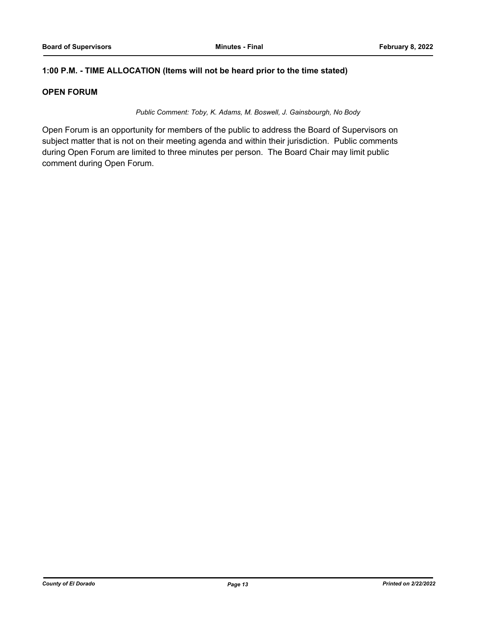## **1:00 P.M. - TIME ALLOCATION (Items will not be heard prior to the time stated)**

## **OPEN FORUM**

*Public Comment: Toby, K. Adams, M. Boswell, J. Gainsbourgh, No Body*

Open Forum is an opportunity for members of the public to address the Board of Supervisors on subject matter that is not on their meeting agenda and within their jurisdiction. Public comments during Open Forum are limited to three minutes per person. The Board Chair may limit public comment during Open Forum.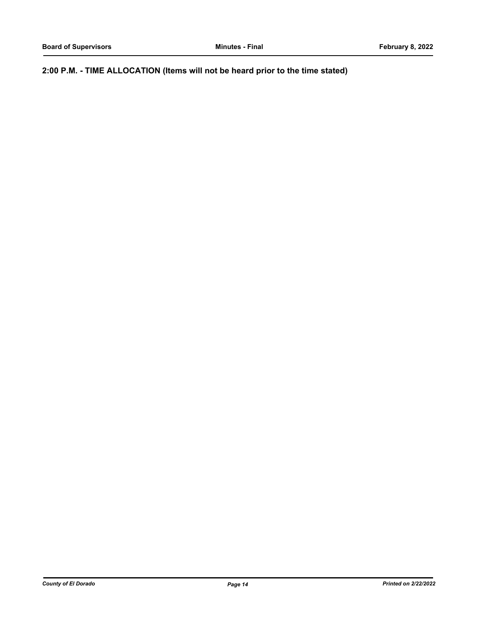**2:00 P.M. - TIME ALLOCATION (Items will not be heard prior to the time stated)**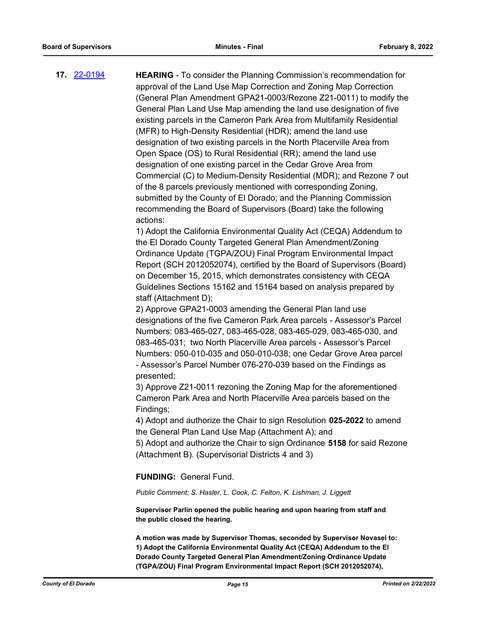**17.** [22-0194](http://eldorado.legistar.com/gateway.aspx?m=l&id=/matter.aspx?key=31095) **HEARING** - To consider the Planning Commission's recommendation for approval of the Land Use Map Correction and Zoning Map Correction (General Plan Amendment GPA21-0003/Rezone Z21-0011) to modify the General Plan Land Use Map amending the land use designation of five existing parcels in the Cameron Park Area from Multifamily Residential (MFR) to High-Density Residential (HDR); amend the land use designation of two existing parcels in the North Placerville Area from Open Space (OS) to Rural Residential (RR); amend the land use designation of one existing parcel in the Cedar Grove Area from Commercial (C) to Medium-Density Residential (MDR); and Rezone 7 out of the 8 parcels previously mentioned with corresponding Zoning, submitted by the County of El Dorado; and the Planning Commission recommending the Board of Supervisors (Board) take the following actions:

> 1) Adopt the California Environmental Quality Act (CEQA) Addendum to the El Dorado County Targeted General Plan Amendment/Zoning Ordinance Update (TGPA/ZOU) Final Program Environmental Impact Report (SCH 2012052074), certified by the Board of Supervisors (Board) on December 15, 2015, which demonstrates consistency with CEQA Guidelines Sections 15162 and 15164 based on analysis prepared by staff (Attachment D);

> 2) Approve GPA21-0003 amending the General Plan land use designations of the five Cameron Park Area parcels - Assessor's Parcel Numbers: 083-465-027, 083-465-028, 083-465-029, 083-465-030, and 083-465-031; two North Placerville Area parcels - Assessor's Parcel Numbers: 050-010-035 and 050-010-038; one Cedar Grove Area parcel - Assessor's Parcel Number 076-270-039 based on the Findings as presented;

3) Approve Z21-0011 rezoning the Zoning Map for the aforementioned Cameron Park Area and North Placerville Area parcels based on the Findings;

4) Adopt and authorize the Chair to sign Resolution **025-2022** to amend the General Plan Land Use Map (Attachment A); and

5) Adopt and authorize the Chair to sign Ordinance **5158** for said Rezone (Attachment B). (Supervisorial Districts 4 and 3)

**FUNDING:** General Fund.

*Public Comment: S. Hasler, L. Cook, C. Felton, K. Lishman, J. Liggett*

**Supervisor Parlin opened the public hearing and upon hearing from staff and the public closed the hearing.**

**A motion was made by Supervisor Thomas, seconded by Supervisor Novasel to: 1) Adopt the California Environmental Quality Act (CEQA) Addendum to the El Dorado County Targeted General Plan Amendment/Zoning Ordinance Update (TGPA/ZOU) Final Program Environmental Impact Report (SCH 2012052074),**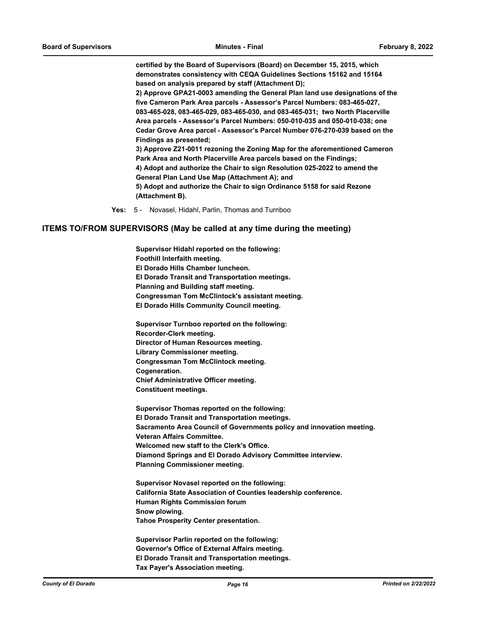**certified by the Board of Supervisors (Board) on December 15, 2015, which demonstrates consistency with CEQA Guidelines Sections 15162 and 15164 based on analysis prepared by staff (Attachment D);** 

**2) Approve GPA21-0003 amending the General Plan land use designations of the five Cameron Park Area parcels - Assessor's Parcel Numbers: 083-465-027, 083-465-028, 083-465-029, 083-465-030, and 083-465-031; two North Placerville Area parcels - Assessor's Parcel Numbers: 050-010-035 and 050-010-038; one Cedar Grove Area parcel - Assessor's Parcel Number 076-270-039 based on the Findings as presented;** 

**3) Approve Z21-0011 rezoning the Zoning Map for the aforementioned Cameron Park Area and North Placerville Area parcels based on the Findings; 4) Adopt and authorize the Chair to sign Resolution 025-2022 to amend the** 

**General Plan Land Use Map (Attachment A); and** 

**5) Adopt and authorize the Chair to sign Ordinance 5158 for said Rezone (Attachment B).**

**Yes:** 5 - Novasel, Hidahl, Parlin, Thomas and Turnboo

#### **ITEMS TO/FROM SUPERVISORS (May be called at any time during the meeting)**

**Supervisor Hidahl reported on the following: Foothill Interfaith meeting. El Dorado Hills Chamber luncheon. El Dorado Transit and Transportation meetings. Planning and Building staff meeting. Congressman Tom McClintock's assistant meeting. El Dorado Hills Community Council meeting.**

**Supervisor Turnboo reported on the following: Recorder-Clerk meeting. Director of Human Resources meeting. Library Commissioner meeting. Congressman Tom McClintock meeting. Cogeneration. Chief Administrative Officer meeting. Constituent meetings.**

**Supervisor Thomas reported on the following: El Dorado Transit and Transportation meetings. Sacramento Area Council of Governments policy and innovation meeting. Veteran Affairs Committee. Welcomed new staff to the Clerk's Office. Diamond Springs and El Dorado Advisory Committee interview. Planning Commissioner meeting.**

**Supervisor Novasel reported on the following: California State Association of Counties leadership conference. Human Rights Commission forum Snow plowing. Tahoe Prosperity Center presentation.**

**Supervisor Parlin reported on the following: Governor's Office of External Affairs meeting. El Dorado Transit and Transportation meetings. Tax Payer's Association meeting.**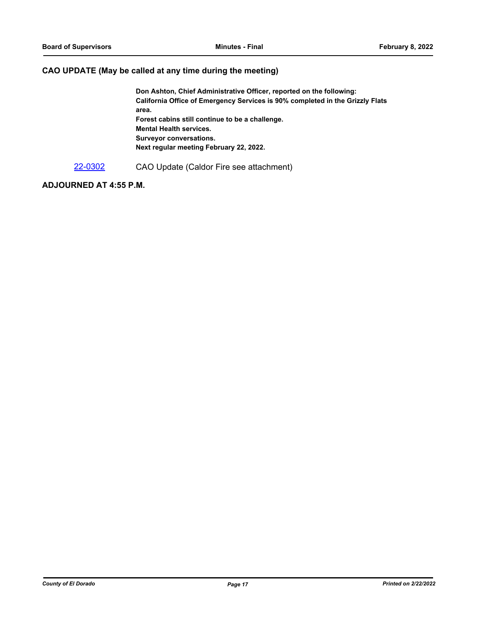## **CAO UPDATE (May be called at any time during the meeting)**

**Don Ashton, Chief Administrative Officer, reported on the following: California Office of Emergency Services is 90% completed in the Grizzly Flats area. Forest cabins still continue to be a challenge. Mental Health services. Surveyor conversations. Next regular meeting February 22, 2022.**

[22-0302](http://eldorado.legistar.com/gateway.aspx?m=l&id=/matter.aspx?key=31203) CAO Update (Caldor Fire see attachment)

## **ADJOURNED AT 4:55 P.M.**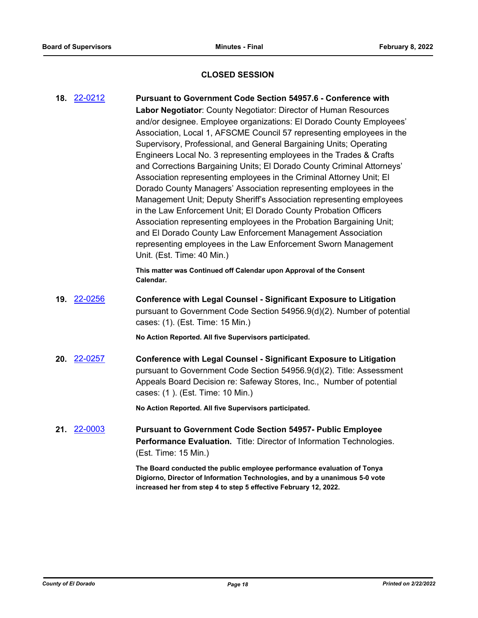## **CLOSED SESSION**

**18.** [22-0212](http://eldorado.legistar.com/gateway.aspx?m=l&id=/matter.aspx?key=31113) **Pursuant to Government Code Section 54957.6 - Conference with Labor Negotiator**: County Negotiator: Director of Human Resources and/or designee. Employee organizations: El Dorado County Employees' Association, Local 1, AFSCME Council 57 representing employees in the Supervisory, Professional, and General Bargaining Units; Operating Engineers Local No. 3 representing employees in the Trades & Crafts and Corrections Bargaining Units; El Dorado County Criminal Attorneys' Association representing employees in the Criminal Attorney Unit; El Dorado County Managers' Association representing employees in the Management Unit; Deputy Sheriff's Association representing employees in the Law Enforcement Unit; El Dorado County Probation Officers Association representing employees in the Probation Bargaining Unit; and El Dorado County Law Enforcement Management Association representing employees in the Law Enforcement Sworn Management Unit. (Est. Time: 40 Min.)

> **This matter was Continued off Calendar upon Approval of the Consent Calendar.**

**19.** [22-0256](http://eldorado.legistar.com/gateway.aspx?m=l&id=/matter.aspx?key=31157) **Conference with Legal Counsel - Significant Exposure to Litigation** pursuant to Government Code Section 54956.9(d)(2). Number of potential cases: (1). (Est. Time: 15 Min.)

**No Action Reported. All five Supervisors participated.**

**20.** [22-0257](http://eldorado.legistar.com/gateway.aspx?m=l&id=/matter.aspx?key=31158) **Conference with Legal Counsel - Significant Exposure to Litigation** pursuant to Government Code Section 54956.9(d)(2). Title: Assessment Appeals Board Decision re: Safeway Stores, Inc., Number of potential cases: (1 ). (Est. Time: 10 Min.)

**No Action Reported. All five Supervisors participated.**

**21.** [22-0003](http://eldorado.legistar.com/gateway.aspx?m=l&id=/matter.aspx?key=30904) **Pursuant to Government Code Section 54957- Public Employee Performance Evaluation.** Title: Director of Information Technologies. (Est. Time: 15 Min.)

> **The Board conducted the public employee performance evaluation of Tonya Digiorno, Director of Information Technologies, and by a unanimous 5-0 vote increased her from step 4 to step 5 effective February 12, 2022.**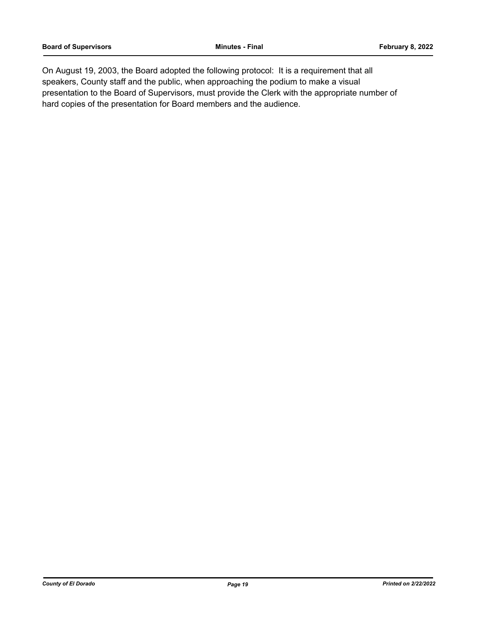On August 19, 2003, the Board adopted the following protocol: It is a requirement that all speakers, County staff and the public, when approaching the podium to make a visual presentation to the Board of Supervisors, must provide the Clerk with the appropriate number of hard copies of the presentation for Board members and the audience.